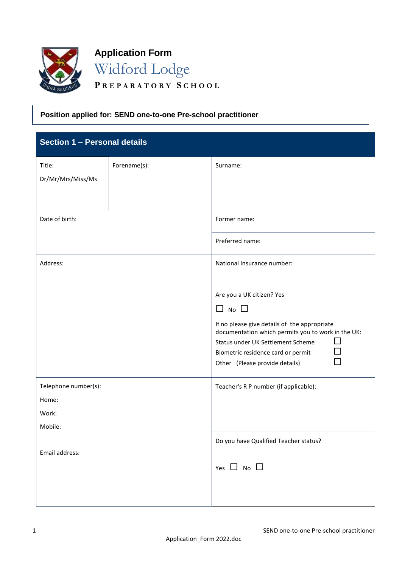

**Application Form** Widford Lodge

**P R E P A R A T O R Y S C H O O L**

## **Position applied for: SEND one-to-one Pre-school practitioner**

| Section 1 - Personal details |              |                                                                                                                                                                                          |
|------------------------------|--------------|------------------------------------------------------------------------------------------------------------------------------------------------------------------------------------------|
| Title:<br>Dr/Mr/Mrs/Miss/Ms  | Forename(s): | Surname:                                                                                                                                                                                 |
| Date of birth:               |              | Former name:                                                                                                                                                                             |
|                              |              | Preferred name:                                                                                                                                                                          |
| Address:                     |              | National Insurance number:                                                                                                                                                               |
|                              |              | Are you a UK citizen? Yes<br>$\Box$ No $\Box$<br>If no please give details of the appropriate<br>documentation which permits you to work in the UK:<br>Status under UK Settlement Scheme |
|                              |              | Biometric residence card or permit<br>Other (Please provide details)                                                                                                                     |
| Telephone number(s):         |              | Teacher's R P number (if applicable):                                                                                                                                                    |
| Home:                        |              |                                                                                                                                                                                          |
| Work:<br>Mobile:             |              |                                                                                                                                                                                          |
| Email address:               |              | Do you have Qualified Teacher status?<br>Yes $\Box$ No $\Box$                                                                                                                            |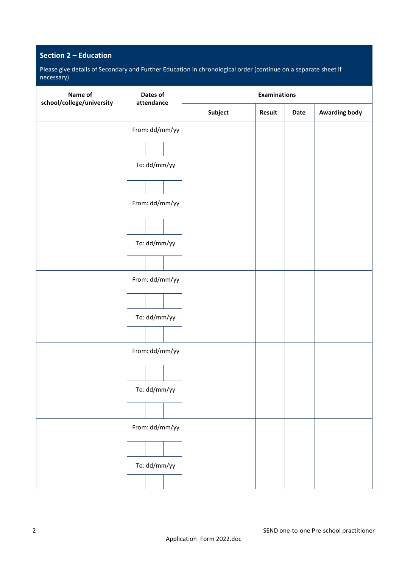# **Section 2 – Education**

Please give details of Secondary and Further Education in chronological order (continue on a separate sheet if necessary)

| Name of                   | Dates of<br>attendance |  | <b>Examinations</b> |        |      |                      |
|---------------------------|------------------------|--|---------------------|--------|------|----------------------|
| school/college/university |                        |  | Subject             | Result | Date | <b>Awarding body</b> |
|                           | From: dd/mm/yy         |  |                     |        |      |                      |
|                           |                        |  |                     |        |      |                      |
|                           | To: dd/mm/yy           |  |                     |        |      |                      |
|                           |                        |  |                     |        |      |                      |
|                           | From: dd/mm/yy         |  |                     |        |      |                      |
|                           |                        |  |                     |        |      |                      |
|                           | To: dd/mm/yy           |  |                     |        |      |                      |
|                           |                        |  |                     |        |      |                      |
|                           | From: dd/mm/yy         |  |                     |        |      |                      |
|                           |                        |  |                     |        |      |                      |
|                           | To: dd/mm/yy           |  |                     |        |      |                      |
|                           |                        |  |                     |        |      |                      |
|                           | From: dd/mm/yy         |  |                     |        |      |                      |
|                           |                        |  |                     |        |      |                      |
|                           | To: dd/mm/yy           |  |                     |        |      |                      |
|                           |                        |  |                     |        |      |                      |
|                           | From: dd/mm/yy         |  |                     |        |      |                      |
|                           |                        |  |                     |        |      |                      |
|                           | To: dd/mm/yy           |  |                     |        |      |                      |
|                           |                        |  |                     |        |      |                      |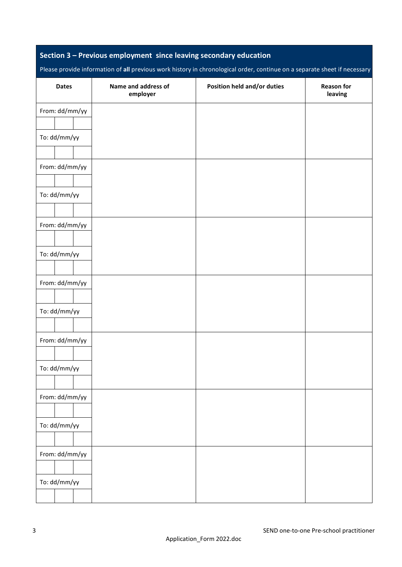## **Section 3 – Previous employment since leaving secondary education**

Please provide information of **all** previous work history in chronological order, continue on a separate sheet if necessary

| <b>Dates</b>   | Name and address of<br>employer | Position held and/or duties | <b>Reason for</b><br>leaving |
|----------------|---------------------------------|-----------------------------|------------------------------|
| From: dd/mm/yy |                                 |                             |                              |
|                |                                 |                             |                              |
| To: dd/mm/yy   |                                 |                             |                              |
|                |                                 |                             |                              |
| From: dd/mm/yy |                                 |                             |                              |
|                |                                 |                             |                              |
| To: dd/mm/yy   |                                 |                             |                              |
|                |                                 |                             |                              |
| From: dd/mm/yy |                                 |                             |                              |
|                |                                 |                             |                              |
| To: dd/mm/yy   |                                 |                             |                              |
|                |                                 |                             |                              |
| From: dd/mm/yy |                                 |                             |                              |
|                |                                 |                             |                              |
| To: dd/mm/yy   |                                 |                             |                              |
|                |                                 |                             |                              |
| From: dd/mm/yy |                                 |                             |                              |
|                |                                 |                             |                              |
| To: dd/mm/yy   |                                 |                             |                              |
|                |                                 |                             |                              |
| From: dd/mm/yy |                                 |                             |                              |
|                |                                 |                             |                              |
| To: dd/mm/yy   |                                 |                             |                              |
|                |                                 |                             |                              |
| From: dd/mm/yy |                                 |                             |                              |
|                |                                 |                             |                              |
| To: dd/mm/yy   |                                 |                             |                              |
|                |                                 |                             |                              |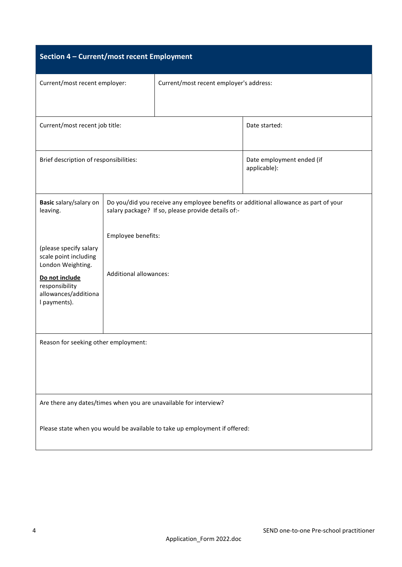| Section 4 - Current/most recent Employment                                                                                                       |                               |                                                    |                                                                                      |  |
|--------------------------------------------------------------------------------------------------------------------------------------------------|-------------------------------|----------------------------------------------------|--------------------------------------------------------------------------------------|--|
| Current/most recent employer:                                                                                                                    |                               | Current/most recent employer's address:            |                                                                                      |  |
| Current/most recent job title:                                                                                                                   |                               |                                                    | Date started:                                                                        |  |
| Brief description of responsibilities:                                                                                                           |                               | Date employment ended (if<br>applicable):          |                                                                                      |  |
| Basic salary/salary on<br>leaving.                                                                                                               |                               | salary package? If so, please provide details of:- | Do you/did you receive any employee benefits or additional allowance as part of your |  |
|                                                                                                                                                  | Employee benefits:            |                                                    |                                                                                      |  |
| (please specify salary<br>scale point including<br>London Weighting.<br>Do not include<br>responsibility<br>allowances/additiona<br>I payments). | <b>Additional allowances:</b> |                                                    |                                                                                      |  |
| Reason for seeking other employment:                                                                                                             |                               |                                                    |                                                                                      |  |
|                                                                                                                                                  |                               |                                                    |                                                                                      |  |
| Are there any dates/times when you are unavailable for interview?                                                                                |                               |                                                    |                                                                                      |  |
| Please state when you would be available to take up employment if offered:                                                                       |                               |                                                    |                                                                                      |  |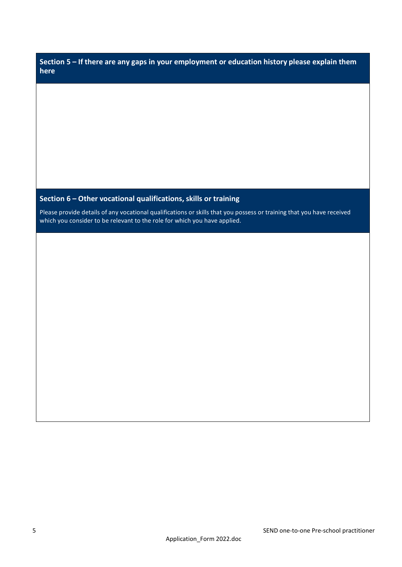| Section 5 – If there are any gaps in your employment or education history please explain them |  |
|-----------------------------------------------------------------------------------------------|--|
| here                                                                                          |  |

# **Section 6 – Other vocational qualifications, skills or training**

Please provide details of any vocational qualifications or skills that you possess or training that you have received which you consider to be relevant to the role for which you have applied.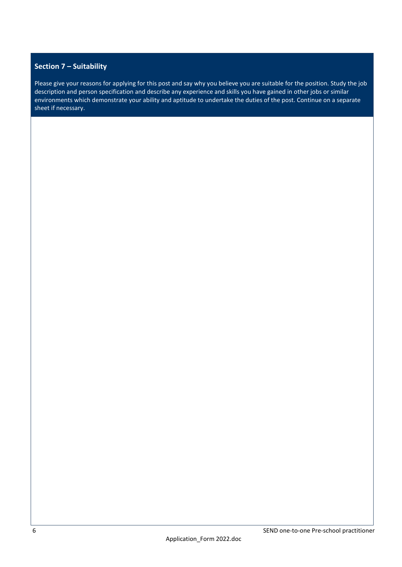## **Section 7 – Suitability**

Please give your reasons for applying for this post and say why you believe you are suitable for the position. Study the job description and person specification and describe any experience and skills you have gained in other jobs or similar environments which demonstrate your ability and aptitude to undertake the duties of the post. Continue on a separate sheet if necessary.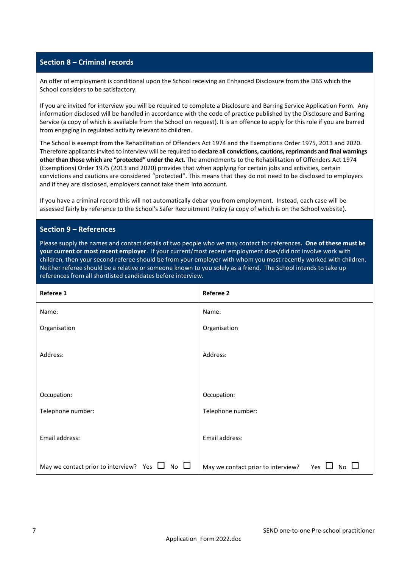### **Section 8 – Criminal records**

An offer of employment is conditional upon the School receiving an Enhanced Disclosure from the DBS which the School considers to be satisfactory.

If you are invited for interview you will be required to complete a Disclosure and Barring Service Application Form. Any information disclosed will be handled in accordance with the code of practice published by the Disclosure and Barring Service (a copy of which is available from the School on request). It is an offence to apply for this role if you are barred from engaging in regulated activity relevant to children.

The School is exempt from the Rehabilitation of Offenders Act 1974 and the Exemptions Order 1975, 2013 and 2020. Therefore applicants invited to interview will be required to **declare all convictions, cautions, reprimands and final warnings other than those which are "protected" under the Act.** The amendments to the Rehabilitation of Offenders Act 1974 (Exemptions) Order 1975 (2013 and 2020) provides that when applying for certain jobs and activities, certain convictions and cautions are considered "protected". This means that they do not need to be disclosed to employers and if they are disclosed, employers cannot take them into account.

If you have a criminal record this will not automatically debar you from employment. Instead, each case will be assessed fairly by reference to the School's Safer Recruitment Policy (a copy of which is on the School website).

#### **Section 9 – References**

Please supply the names and contact details of two people who we may contact for references**. One of these must be your current or most recent employer**. If your current/most recent employment does/did not involve work with children, then your second referee should be from your employer with whom you most recently worked with children. Neither referee should be a relative or someone known to you solely as a friend. The School intends to take up references from all shortlisted candidates before interview.

| Referee 1                                                    | <b>Referee 2</b>                                                |
|--------------------------------------------------------------|-----------------------------------------------------------------|
| Name:                                                        | Name:                                                           |
| Organisation                                                 | Organisation                                                    |
| Address:                                                     | Address:                                                        |
| Occupation:                                                  | Occupation:                                                     |
| Telephone number:                                            | Telephone number:                                               |
| Email address:                                               | Email address:                                                  |
| $No$ $\Box$<br>May we contact prior to interview? Yes $\Box$ | May we contact prior to interview?<br>Yes<br>No<br>$\mathbf{I}$ |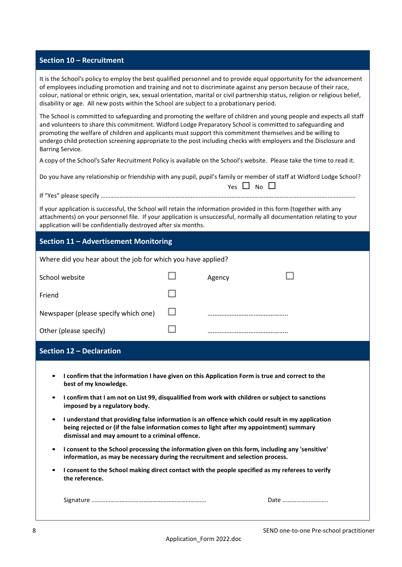### **Section 10 – Recruitment**

It is the School's policy to employ the best qualified personnel and to provide equal opportunity for the advancement of employees including promotion and training and not to discriminate against any person because of their race, colour, national or ethnic origin, sex, sexual orientation, marital or civil partnership status, religion or religious belief, disability or age. All new posts within the School are subject to a probationary period.

The School is committed to safeguarding and promoting the welfare of children and young people and expects all staff and volunteers to share this commitment. Widford Lodge Preparatory School is committed to safeguarding and promoting the welfare of children and applicants must support this commitment themselves and be willing to undergo child protection screening appropriate to the post including checks with employers and the Disclosure and Barring Service.

A copy of the School's Safer Recruitment Policy is available on the School's website. Please take the time to read it.

| Do you have any relationship or friendship with any pupil, pupil's family or member of staff at Widford Lodge School? |
|-----------------------------------------------------------------------------------------------------------------------|
| Yes $\Box$ No $\Box$                                                                                                  |

If "Yes" please specify ………………………………………………………………………………………………….…………………………….………………

If your application is successful, the School will retain the information provided in this form (together with any attachments) on your personnel file. If your application is unsuccessful, normally all documentation relating to your application will be confidentially destroyed after six months.

## **Section 11 – Advertisement Monitoring**

| Where did you hear about the job for which you have applied? |   |        |  |
|--------------------------------------------------------------|---|--------|--|
| School website                                               |   | Agency |  |
| Friend                                                       |   |        |  |
| Newspaper (please specify which one)                         | ப |        |  |
| Other (please specify)                                       |   |        |  |

### **Section 12 – Declaration**

- **I confirm that the information I have given on this Application Form is true and correct to the best of my knowledge.**
- **I confirm that I am not on List 99, disqualified from work with children or subject to sanctions imposed by a regulatory body.**
- **I understand that providing false information is an offence which could result in my application being rejected or (if the false information comes to light after my appointment) summary dismissal and may amount to a criminal offence.**
- **I consent to the School processing the information given on this form, including any 'sensitive' information, as may be necessary during the recruitment and selection process.**
- **I consent to the School making direct contact with the people specified as my referees to verify the reference.**

| $\sim$<br>218 |  |
|---------------|--|
|               |  |

| Date |  |
|------|--|
|------|--|